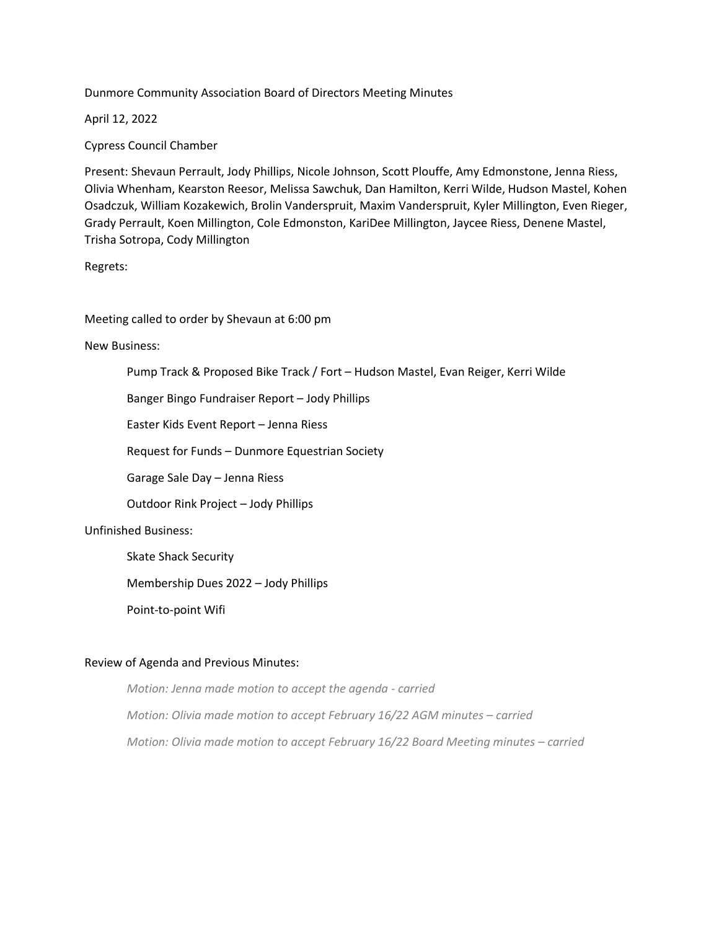Dunmore Community Association Board of Directors Meeting Minutes

April 12, 2022

Cypress Council Chamber

Present: Shevaun Perrault, Jody Phillips, Nicole Johnson, Scott Plouffe, Amy Edmonstone, Jenna Riess, Olivia Whenham, Kearston Reesor, Melissa Sawchuk, Dan Hamilton, Kerri Wilde, Hudson Mastel, Kohen Osadczuk, William Kozakewich, Brolin Vanderspruit, Maxim Vanderspruit, Kyler Millington, Even Rieger, Grady Perrault, Koen Millington, Cole Edmonston, KariDee Millington, Jaycee Riess, Denene Mastel, Trisha Sotropa, Cody Millington

Regrets:

Meeting called to order by Shevaun at 6:00 pm

New Business:

Pump Track & Proposed Bike Track / Fort – Hudson Mastel, Evan Reiger, Kerri Wilde

Banger Bingo Fundraiser Report – Jody Phillips

Easter Kids Event Report – Jenna Riess

Request for Funds – Dunmore Equestrian Society

Garage Sale Day – Jenna Riess

Outdoor Rink Project – Jody Phillips

## Unfinished Business:

Skate Shack Security

Membership Dues 2022 – Jody Phillips

Point-to-point Wifi

## Review of Agenda and Previous Minutes:

*Motion: Jenna made motion to accept the agenda - carried Motion: Olivia made motion to accept February 16/22 AGM minutes – carried Motion: Olivia made motion to accept February 16/22 Board Meeting minutes – carried*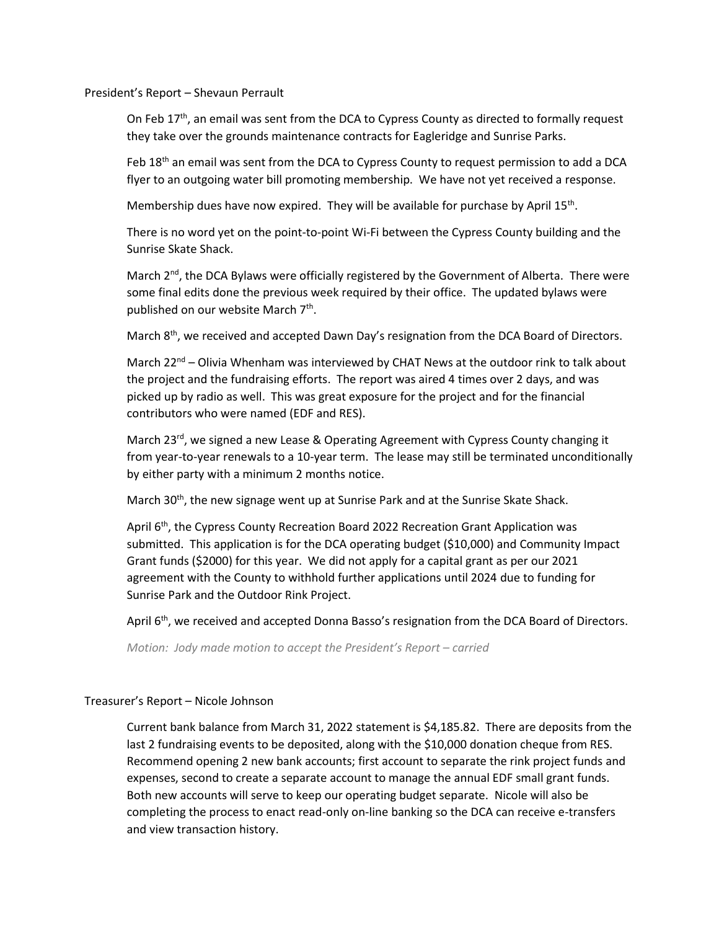President's Report – Shevaun Perrault

On Feb  $17<sup>th</sup>$ , an email was sent from the DCA to Cypress County as directed to formally request they take over the grounds maintenance contracts for Eagleridge and Sunrise Parks.

Feb 18<sup>th</sup> an email was sent from the DCA to Cypress County to request permission to add a DCA flyer to an outgoing water bill promoting membership. We have not yet received a response.

Membership dues have now expired. They will be available for purchase by April 15<sup>th</sup>.

There is no word yet on the point-to-point Wi-Fi between the Cypress County building and the Sunrise Skate Shack.

March  $2<sup>nd</sup>$ , the DCA Bylaws were officially registered by the Government of Alberta. There were some final edits done the previous week required by their office. The updated bylaws were published on our website March 7<sup>th</sup>.

March 8<sup>th</sup>, we received and accepted Dawn Day's resignation from the DCA Board of Directors.

March 22<sup>nd</sup> – Olivia Whenham was interviewed by CHAT News at the outdoor rink to talk about the project and the fundraising efforts. The report was aired 4 times over 2 days, and was picked up by radio as well. This was great exposure for the project and for the financial contributors who were named (EDF and RES).

March 23<sup>rd</sup>, we signed a new Lease & Operating Agreement with Cypress County changing it from year-to-year renewals to a 10-year term. The lease may still be terminated unconditionally by either party with a minimum 2 months notice.

March 30<sup>th</sup>, the new signage went up at Sunrise Park and at the Sunrise Skate Shack.

April 6<sup>th</sup>, the Cypress County Recreation Board 2022 Recreation Grant Application was submitted. This application is for the DCA operating budget (\$10,000) and Community Impact Grant funds (\$2000) for this year. We did not apply for a capital grant as per our 2021 agreement with the County to withhold further applications until 2024 due to funding for Sunrise Park and the Outdoor Rink Project.

April 6<sup>th</sup>, we received and accepted Donna Basso's resignation from the DCA Board of Directors.

*Motion: Jody made motion to accept the President's Report – carried*

#### Treasurer's Report – Nicole Johnson

Current bank balance from March 31, 2022 statement is \$4,185.82. There are deposits from the last 2 fundraising events to be deposited, along with the \$10,000 donation cheque from RES. Recommend opening 2 new bank accounts; first account to separate the rink project funds and expenses, second to create a separate account to manage the annual EDF small grant funds. Both new accounts will serve to keep our operating budget separate. Nicole will also be completing the process to enact read-only on-line banking so the DCA can receive e-transfers and view transaction history.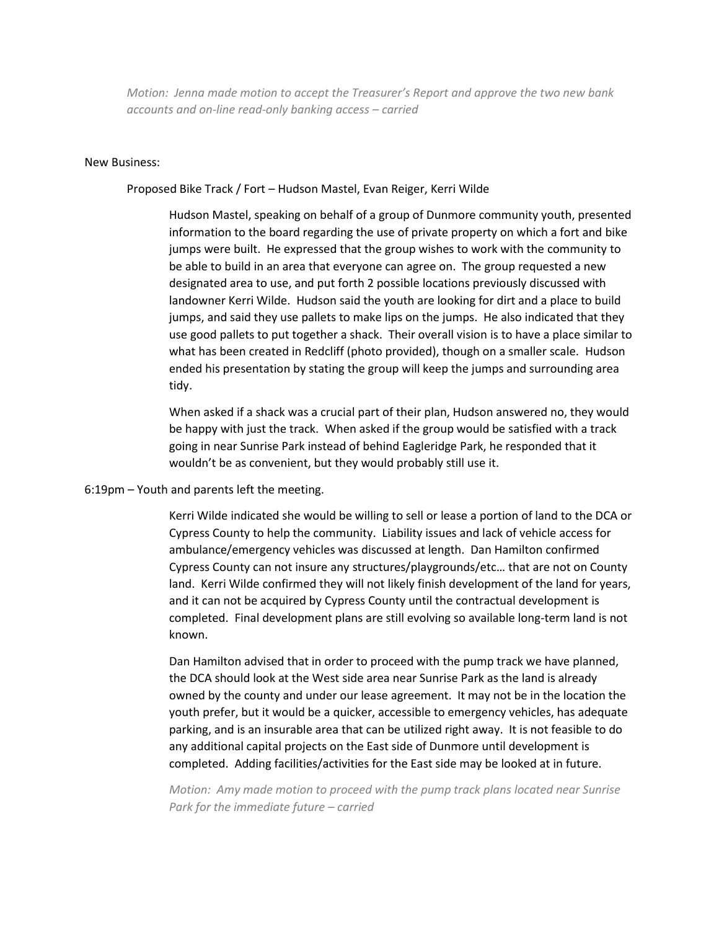*Motion: Jenna made motion to accept the Treasurer's Report and approve the two new bank accounts and on-line read-only banking access – carried*

### New Business:

### Proposed Bike Track / Fort – Hudson Mastel, Evan Reiger, Kerri Wilde

Hudson Mastel, speaking on behalf of a group of Dunmore community youth, presented information to the board regarding the use of private property on which a fort and bike jumps were built. He expressed that the group wishes to work with the community to be able to build in an area that everyone can agree on. The group requested a new designated area to use, and put forth 2 possible locations previously discussed with landowner Kerri Wilde. Hudson said the youth are looking for dirt and a place to build jumps, and said they use pallets to make lips on the jumps. He also indicated that they use good pallets to put together a shack. Their overall vision is to have a place similar to what has been created in Redcliff (photo provided), though on a smaller scale. Hudson ended his presentation by stating the group will keep the jumps and surrounding area tidy.

When asked if a shack was a crucial part of their plan, Hudson answered no, they would be happy with just the track. When asked if the group would be satisfied with a track going in near Sunrise Park instead of behind Eagleridge Park, he responded that it wouldn't be as convenient, but they would probably still use it.

#### 6:19pm – Youth and parents left the meeting.

Kerri Wilde indicated she would be willing to sell or lease a portion of land to the DCA or Cypress County to help the community. Liability issues and lack of vehicle access for ambulance/emergency vehicles was discussed at length. Dan Hamilton confirmed Cypress County can not insure any structures/playgrounds/etc… that are not on County land. Kerri Wilde confirmed they will not likely finish development of the land for years, and it can not be acquired by Cypress County until the contractual development is completed. Final development plans are still evolving so available long-term land is not known.

Dan Hamilton advised that in order to proceed with the pump track we have planned, the DCA should look at the West side area near Sunrise Park as the land is already owned by the county and under our lease agreement. It may not be in the location the youth prefer, but it would be a quicker, accessible to emergency vehicles, has adequate parking, and is an insurable area that can be utilized right away. It is not feasible to do any additional capital projects on the East side of Dunmore until development is completed. Adding facilities/activities for the East side may be looked at in future.

*Motion: Amy made motion to proceed with the pump track plans located near Sunrise Park for the immediate future – carried*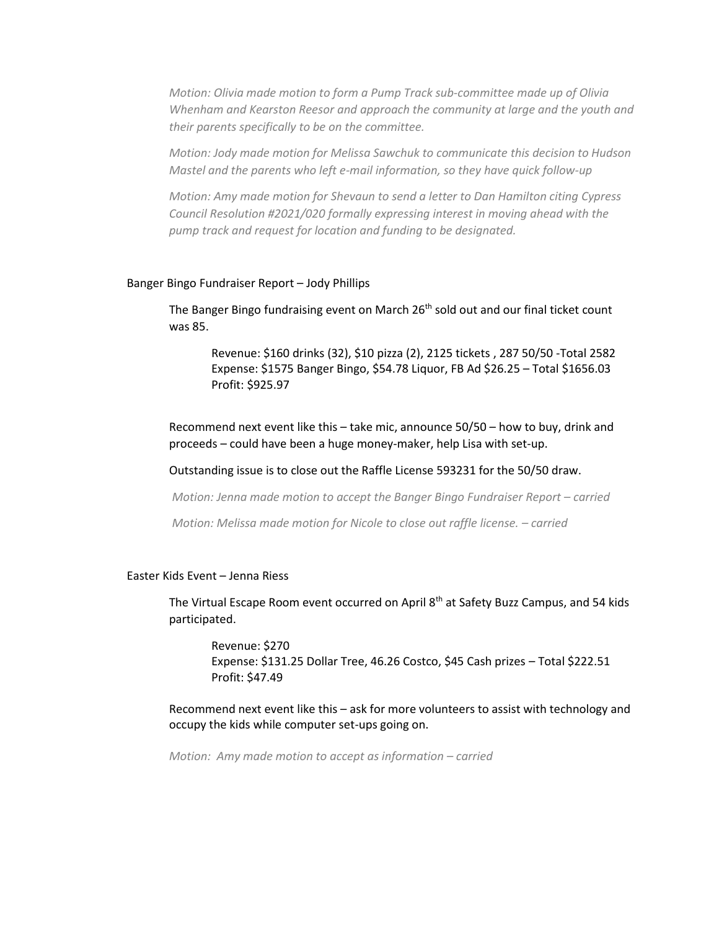*Motion: Olivia made motion to form a Pump Track sub-committee made up of Olivia Whenham and Kearston Reesor and approach the community at large and the youth and their parents specifically to be on the committee.*

*Motion: Jody made motion for Melissa Sawchuk to communicate this decision to Hudson Mastel and the parents who left e-mail information, so they have quick follow-up*

*Motion: Amy made motion for Shevaun to send a letter to Dan Hamilton citing Cypress Council Resolution #2021/020 formally expressing interest in moving ahead with the pump track and request for location and funding to be designated.*

### Banger Bingo Fundraiser Report – Jody Phillips

The Banger Bingo fundraising event on March 26<sup>th</sup> sold out and our final ticket count was 85.

Revenue: \$160 drinks (32), \$10 pizza (2), 2125 tickets , 287 50/50 -Total 2582 Expense: \$1575 Banger Bingo, \$54.78 Liquor, FB Ad \$26.25 – Total \$1656.03 Profit: \$925.97

Recommend next event like this – take mic, announce 50/50 – how to buy, drink and proceeds – could have been a huge money-maker, help Lisa with set-up.

Outstanding issue is to close out the Raffle License 593231 for the 50/50 draw.

*Motion: Jenna made motion to accept the Banger Bingo Fundraiser Report – carried*

*Motion: Melissa made motion for Nicole to close out raffle license. – carried*

# Easter Kids Event – Jenna Riess

The Virtual Escape Room event occurred on April 8<sup>th</sup> at Safety Buzz Campus, and 54 kids participated.

Revenue: \$270 Expense: \$131.25 Dollar Tree, 46.26 Costco, \$45 Cash prizes – Total \$222.51 Profit: \$47.49

Recommend next event like this – ask for more volunteers to assist with technology and occupy the kids while computer set-ups going on.

*Motion: Amy made motion to accept as information – carried*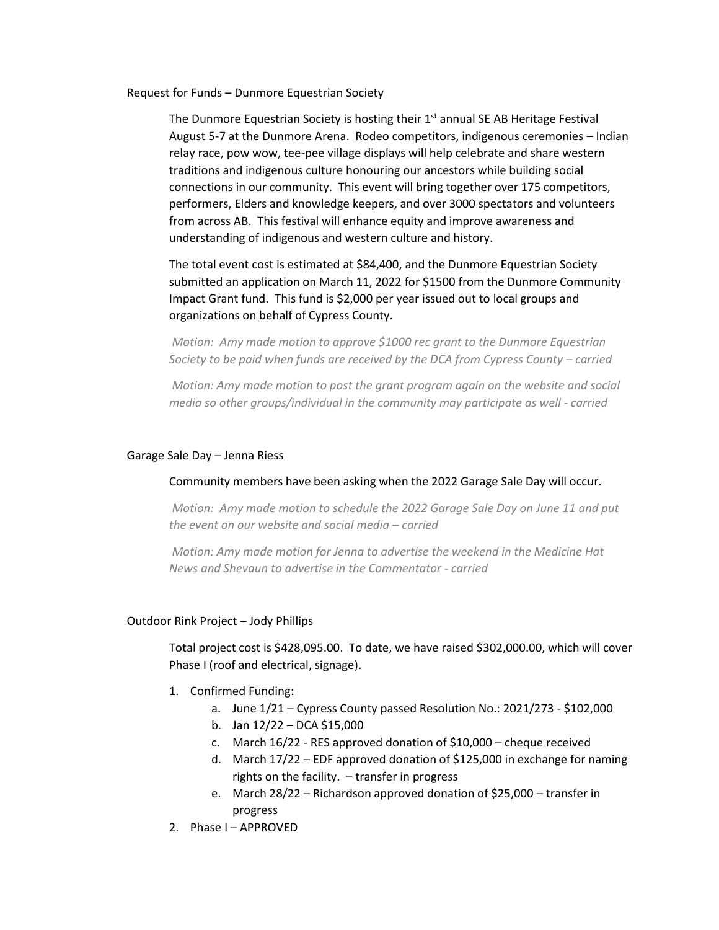Request for Funds – Dunmore Equestrian Society

The Dunmore Equestrian Society is hosting their  $1<sup>st</sup>$  annual SE AB Heritage Festival August 5-7 at the Dunmore Arena. Rodeo competitors, indigenous ceremonies – Indian relay race, pow wow, tee-pee village displays will help celebrate and share western traditions and indigenous culture honouring our ancestors while building social connections in our community. This event will bring together over 175 competitors, performers, Elders and knowledge keepers, and over 3000 spectators and volunteers from across AB. This festival will enhance equity and improve awareness and understanding of indigenous and western culture and history.

The total event cost is estimated at \$84,400, and the Dunmore Equestrian Society submitted an application on March 11, 2022 for \$1500 from the Dunmore Community Impact Grant fund. This fund is \$2,000 per year issued out to local groups and organizations on behalf of Cypress County.

*Motion: Amy made motion to approve \$1000 rec grant to the Dunmore Equestrian Society to be paid when funds are received by the DCA from Cypress County – carried*

*Motion: Amy made motion to post the grant program again on the website and social media so other groups/individual in the community may participate as well - carried*

### Garage Sale Day – Jenna Riess

## Community members have been asking when the 2022 Garage Sale Day will occur.

*Motion: Amy made motion to schedule the 2022 Garage Sale Day on June 11 and put the event on our website and social media – carried*

*Motion: Amy made motion for Jenna to advertise the weekend in the Medicine Hat News and Shevaun to advertise in the Commentator - carried*

#### Outdoor Rink Project – Jody Phillips

Total project cost is \$428,095.00. To date, we have raised \$302,000.00, which will cover Phase I (roof and electrical, signage).

- 1. Confirmed Funding:
	- a. June 1/21 Cypress County passed Resolution No.: 2021/273 \$102,000
	- b. Jan 12/22 DCA \$15,000
	- c. March 16/22 RES approved donation of \$10,000 cheque received
	- d. March 17/22 EDF approved donation of \$125,000 in exchange for naming rights on the facility. – transfer in progress
	- e. March 28/22 Richardson approved donation of \$25,000 transfer in progress
- 2. Phase I APPROVED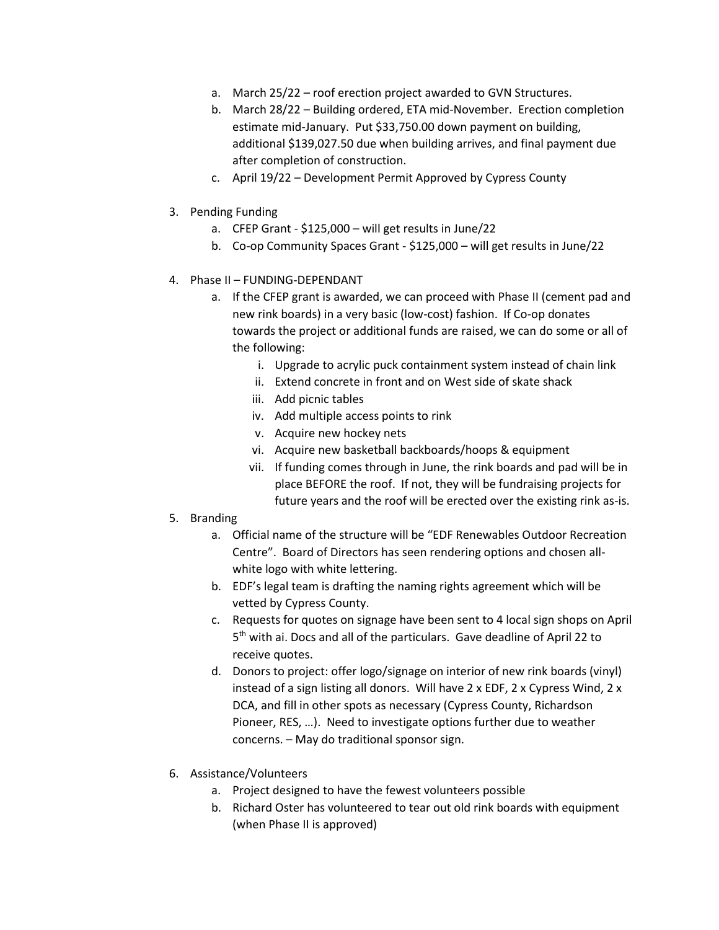- a. March 25/22 roof erection project awarded to GVN Structures.
- b. March 28/22 Building ordered, ETA mid-November. Erection completion estimate mid-January. Put \$33,750.00 down payment on building, additional \$139,027.50 due when building arrives, and final payment due after completion of construction.
- c. April 19/22 Development Permit Approved by Cypress County
- 3. Pending Funding
	- a. CFEP Grant \$125,000 will get results in June/22
	- b. Co-op Community Spaces Grant \$125,000 will get results in June/22
- 4. Phase II FUNDING-DEPENDANT
	- a. If the CFEP grant is awarded, we can proceed with Phase II (cement pad and new rink boards) in a very basic (low-cost) fashion. If Co-op donates towards the project or additional funds are raised, we can do some or all of the following:
		- i. Upgrade to acrylic puck containment system instead of chain link
		- ii. Extend concrete in front and on West side of skate shack
		- iii. Add picnic tables
		- iv. Add multiple access points to rink
		- v. Acquire new hockey nets
		- vi. Acquire new basketball backboards/hoops & equipment
		- vii. If funding comes through in June, the rink boards and pad will be in place BEFORE the roof. If not, they will be fundraising projects for future years and the roof will be erected over the existing rink as-is.
- 5. Branding
	- a. Official name of the structure will be "EDF Renewables Outdoor Recreation Centre". Board of Directors has seen rendering options and chosen allwhite logo with white lettering.
	- b. EDF's legal team is drafting the naming rights agreement which will be vetted by Cypress County.
	- c. Requests for quotes on signage have been sent to 4 local sign shops on April 5<sup>th</sup> with ai. Docs and all of the particulars. Gave deadline of April 22 to receive quotes.
	- d. Donors to project: offer logo/signage on interior of new rink boards (vinyl) instead of a sign listing all donors. Will have 2 x EDF, 2 x Cypress Wind, 2 x DCA, and fill in other spots as necessary (Cypress County, Richardson Pioneer, RES, …). Need to investigate options further due to weather concerns. – May do traditional sponsor sign.
- 6. Assistance/Volunteers
	- a. Project designed to have the fewest volunteers possible
	- b. Richard Oster has volunteered to tear out old rink boards with equipment (when Phase II is approved)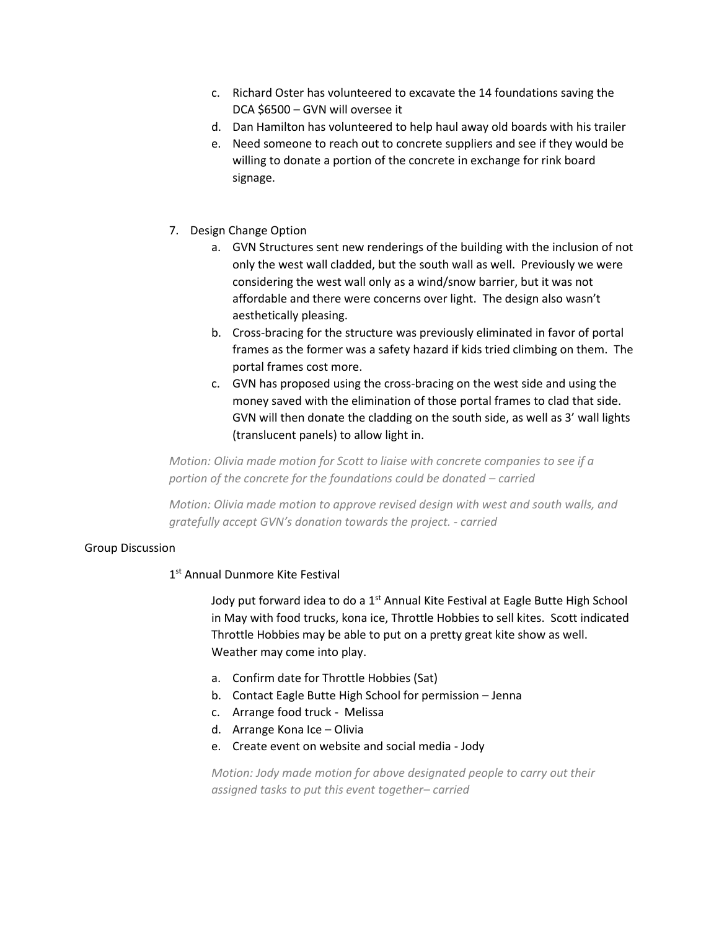- c. Richard Oster has volunteered to excavate the 14 foundations saving the DCA \$6500 – GVN will oversee it
- d. Dan Hamilton has volunteered to help haul away old boards with his trailer
- e. Need someone to reach out to concrete suppliers and see if they would be willing to donate a portion of the concrete in exchange for rink board signage.
- 7. Design Change Option
	- a. GVN Structures sent new renderings of the building with the inclusion of not only the west wall cladded, but the south wall as well. Previously we were considering the west wall only as a wind/snow barrier, but it was not affordable and there were concerns over light. The design also wasn't aesthetically pleasing.
	- b. Cross-bracing for the structure was previously eliminated in favor of portal frames as the former was a safety hazard if kids tried climbing on them. The portal frames cost more.
	- c. GVN has proposed using the cross-bracing on the west side and using the money saved with the elimination of those portal frames to clad that side. GVN will then donate the cladding on the south side, as well as 3' wall lights (translucent panels) to allow light in.

*Motion: Olivia made motion for Scott to liaise with concrete companies to see if a portion of the concrete for the foundations could be donated – carried*

*Motion: Olivia made motion to approve revised design with west and south walls, and gratefully accept GVN's donation towards the project. - carried*

# Group Discussion

# 1<sup>st</sup> Annual Dunmore Kite Festival

Jody put forward idea to do a 1<sup>st</sup> Annual Kite Festival at Eagle Butte High School in May with food trucks, kona ice, Throttle Hobbies to sell kites. Scott indicated Throttle Hobbies may be able to put on a pretty great kite show as well. Weather may come into play.

- a. Confirm date for Throttle Hobbies (Sat)
- b. Contact Eagle Butte High School for permission Jenna
- c. Arrange food truck Melissa
- d. Arrange Kona Ice Olivia
- e. Create event on website and social media Jody

*Motion: Jody made motion for above designated people to carry out their assigned tasks to put this event together– carried*